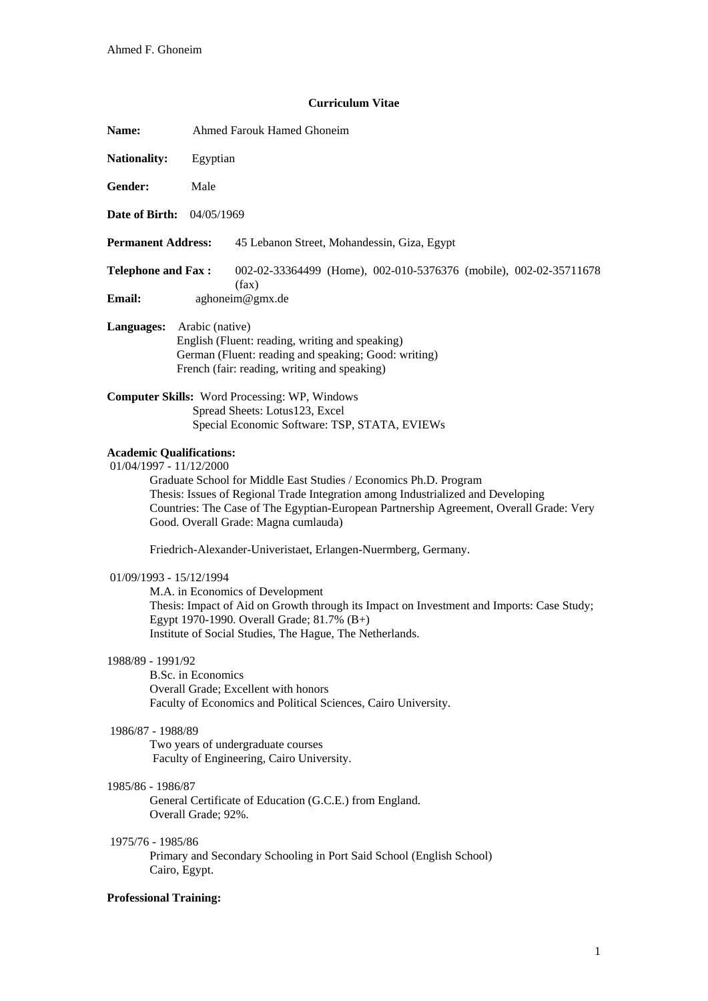# **Curriculum Vitae**

| Name:                                                                                                                                                                                                                                                                                                                                                                                                                                                                                                                                                                                                                                                                                                                                                                                                                                                                                                                                                                                                                                                                                                                                                                                                                        | Ahmed Farouk Hamed Ghoneim                                                                                                                                                 |
|------------------------------------------------------------------------------------------------------------------------------------------------------------------------------------------------------------------------------------------------------------------------------------------------------------------------------------------------------------------------------------------------------------------------------------------------------------------------------------------------------------------------------------------------------------------------------------------------------------------------------------------------------------------------------------------------------------------------------------------------------------------------------------------------------------------------------------------------------------------------------------------------------------------------------------------------------------------------------------------------------------------------------------------------------------------------------------------------------------------------------------------------------------------------------------------------------------------------------|----------------------------------------------------------------------------------------------------------------------------------------------------------------------------|
| <b>Nationality:</b>                                                                                                                                                                                                                                                                                                                                                                                                                                                                                                                                                                                                                                                                                                                                                                                                                                                                                                                                                                                                                                                                                                                                                                                                          | Egyptian                                                                                                                                                                   |
| Gender:                                                                                                                                                                                                                                                                                                                                                                                                                                                                                                                                                                                                                                                                                                                                                                                                                                                                                                                                                                                                                                                                                                                                                                                                                      | Male                                                                                                                                                                       |
| <b>Date of Birth:</b> 04/05/1969                                                                                                                                                                                                                                                                                                                                                                                                                                                                                                                                                                                                                                                                                                                                                                                                                                                                                                                                                                                                                                                                                                                                                                                             |                                                                                                                                                                            |
| <b>Permanent Address:</b>                                                                                                                                                                                                                                                                                                                                                                                                                                                                                                                                                                                                                                                                                                                                                                                                                                                                                                                                                                                                                                                                                                                                                                                                    | 45 Lebanon Street, Mohandessin, Giza, Egypt                                                                                                                                |
| <b>Telephone and Fax:</b><br><b>Email:</b>                                                                                                                                                                                                                                                                                                                                                                                                                                                                                                                                                                                                                                                                                                                                                                                                                                                                                                                                                                                                                                                                                                                                                                                   | 002-02-33364499 (Home), 002-010-5376376 (mobile), 002-02-35711678<br>(fax)<br>aghoneim@gmx.de                                                                              |
| Languages:                                                                                                                                                                                                                                                                                                                                                                                                                                                                                                                                                                                                                                                                                                                                                                                                                                                                                                                                                                                                                                                                                                                                                                                                                   | Arabic (native)<br>English (Fluent: reading, writing and speaking)<br>German (Fluent: reading and speaking; Good: writing)<br>French (fair: reading, writing and speaking) |
|                                                                                                                                                                                                                                                                                                                                                                                                                                                                                                                                                                                                                                                                                                                                                                                                                                                                                                                                                                                                                                                                                                                                                                                                                              | <b>Computer Skills:</b> Word Processing: WP, Windows<br>Spread Sheets: Lotus123, Excel<br>Special Economic Software: TSP, STATA, EVIEWs                                    |
| <b>Academic Qualifications:</b><br>$01/04/1997 - 11/12/2000$<br>Graduate School for Middle East Studies / Economics Ph.D. Program<br>Thesis: Issues of Regional Trade Integration among Industrialized and Developing<br>Countries: The Case of The Egyptian-European Partnership Agreement, Overall Grade: Very<br>Good. Overall Grade: Magna cumlauda)<br>Friedrich-Alexander-Univeristaet, Erlangen-Nuermberg, Germany.<br>$01/09/1993 - 15/12/1994$<br>M.A. in Economics of Development<br>Thesis: Impact of Aid on Growth through its Impact on Investment and Imports: Case Study;<br>Egypt 1970-1990. Overall Grade; 81.7% (B+)<br>Institute of Social Studies, The Hague, The Netherlands.<br>1988/89 - 1991/92<br><b>B.Sc.</b> in Economics<br>Overall Grade; Excellent with honors<br>Faculty of Economics and Political Sciences, Cairo University.<br>1986/87 - 1988/89<br>Two years of undergraduate courses<br>Faculty of Engineering, Cairo University.<br>1985/86 - 1986/87<br>General Certificate of Education (G.C.E.) from England.<br>Overall Grade; 92%.<br>1975/76 - 1985/86<br>Primary and Secondary Schooling in Port Said School (English School)<br>Cairo, Egypt.<br><b>Professional Training:</b> |                                                                                                                                                                            |
|                                                                                                                                                                                                                                                                                                                                                                                                                                                                                                                                                                                                                                                                                                                                                                                                                                                                                                                                                                                                                                                                                                                                                                                                                              |                                                                                                                                                                            |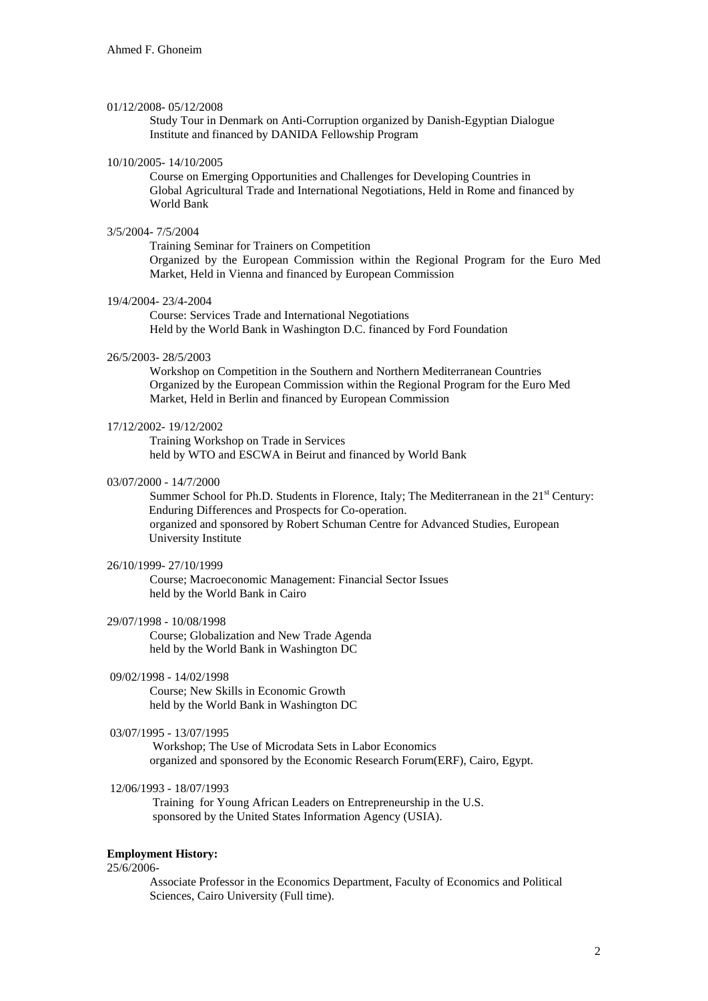#### 01/12/2008- 05/12/2008

 Study Tour in Denmark on Anti-Corruption organized by Danish-Egyptian Dialogue Institute and financed by DANIDA Fellowship Program

#### 10/10/2005- 14/10/2005

 Course on Emerging Opportunities and Challenges for Developing Countries in Global Agricultural Trade and International Negotiations, Held in Rome and financed by World Bank

# 3/5/2004- 7/5/2004

 Training Seminar for Trainers on Competition Organized by the European Commission within the Regional Program for the Euro Med Market, Held in Vienna and financed by European Commission

# 19/4/2004- 23/4-2004

 Course: Services Trade and International Negotiations Held by the World Bank in Washington D.C. financed by Ford Foundation

### 26/5/2003- 28/5/2003

 Workshop on Competition in the Southern and Northern Mediterranean Countries Organized by the European Commission within the Regional Program for the Euro Med Market, Held in Berlin and financed by European Commission

#### 17/12/2002- 19/12/2002

 Training Workshop on Trade in Services held by WTO and ESCWA in Beirut and financed by World Bank

#### 03/07/2000 - 14/7/2000

Summer School for Ph.D. Students in Florence, Italy; The Mediterranean in the  $21<sup>st</sup>$  Century: Enduring Differences and Prospects for Co-operation. organized and sponsored by Robert Schuman Centre for Advanced Studies, European University Institute

# 26/10/1999- 27/10/1999

 Course; Macroeconomic Management: Financial Sector Issues held by the World Bank in Cairo

# 29/07/1998 - 10/08/1998

 Course; Globalization and New Trade Agenda held by the World Bank in Washington DC

#### 09/02/1998 - 14/02/1998

 Course; New Skills in Economic Growth held by the World Bank in Washington DC

### 03/07/1995 - 13/07/1995

 Workshop; The Use of Microdata Sets in Labor Economics organized and sponsored by the Economic Research Forum(ERF), Cairo, Egypt.

# 12/06/1993 - 18/07/1993

 Training for Young African Leaders on Entrepreneurship in the U.S. sponsored by the United States Information Agency (USIA).

# **Employment History:**

### 25/6/2006-

 Associate Professor in the Economics Department, Faculty of Economics and Political Sciences, Cairo University (Full time).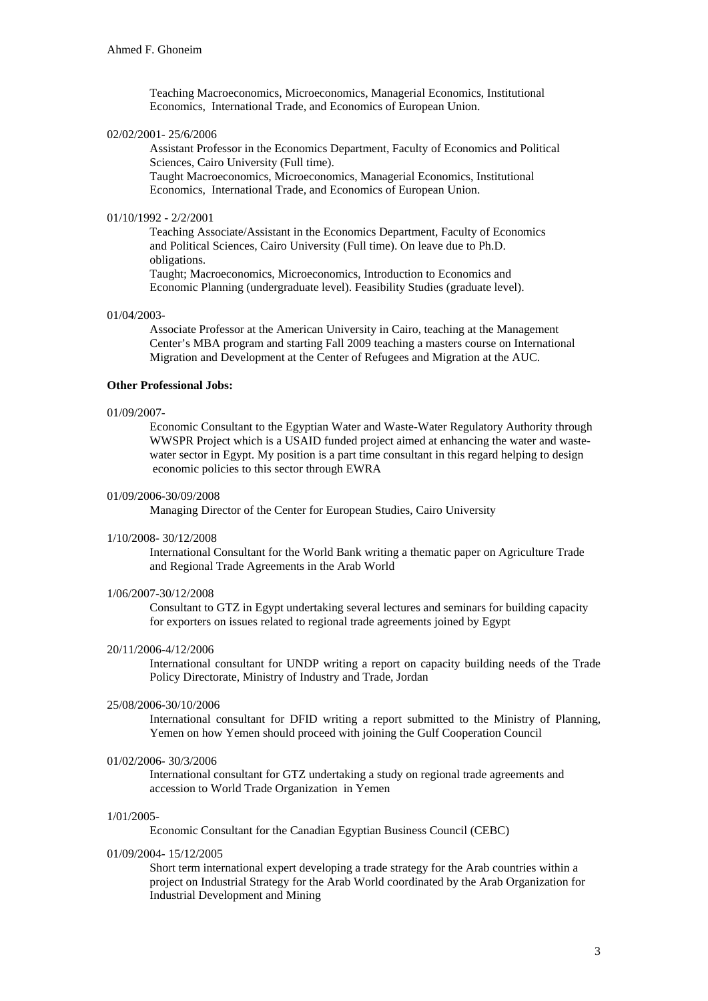Teaching Macroeconomics, Microeconomics, Managerial Economics, Institutional Economics, International Trade, and Economics of European Union.

### 02/02/2001- 25/6/2006

 Assistant Professor in the Economics Department, Faculty of Economics and Political Sciences, Cairo University (Full time).

Taught Macroeconomics, Microeconomics, Managerial Economics, Institutional Economics, International Trade, and Economics of European Union.

### 01/10/1992 - 2/2/2001

Teaching Associate/Assistant in the Economics Department, Faculty of Economics and Political Sciences, Cairo University (Full time). On leave due to Ph.D. obligations.

Taught; Macroeconomics, Microeconomics, Introduction to Economics and Economic Planning (undergraduate level). Feasibility Studies (graduate level).

### 01/04/2003-

 Associate Professor at the American University in Cairo, teaching at the Management Center's MBA program and starting Fall 2009 teaching a masters course on International Migration and Development at the Center of Refugees and Migration at the AUC.

# **Other Professional Jobs:**

#### 01/09/2007-

 Economic Consultant to the Egyptian Water and Waste-Water Regulatory Authority through WWSPR Project which is a USAID funded project aimed at enhancing the water and wastewater sector in Egypt. My position is a part time consultant in this regard helping to design economic policies to this sector through EWRA

### 01/09/2006-30/09/2008

Managing Director of the Center for European Studies, Cairo University

#### 1/10/2008- 30/12/2008

 International Consultant for the World Bank writing a thematic paper on Agriculture Trade and Regional Trade Agreements in the Arab World

# 1/06/2007-30/12/2008

 Consultant to GTZ in Egypt undertaking several lectures and seminars for building capacity for exporters on issues related to regional trade agreements joined by Egypt

# 20/11/2006-4/12/2006

International consultant for UNDP writing a report on capacity building needs of the Trade Policy Directorate, Ministry of Industry and Trade, Jordan

### 25/08/2006-30/10/2006

International consultant for DFID writing a report submitted to the Ministry of Planning, Yemen on how Yemen should proceed with joining the Gulf Cooperation Council

### 01/02/2006- 30/3/2006

 International consultant for GTZ undertaking a study on regional trade agreements and accession to World Trade Organization in Yemen

# 1/01/2005-

Economic Consultant for the Canadian Egyptian Business Council (CEBC)

#### 01/09/2004- 15/12/2005

 Short term international expert developing a trade strategy for the Arab countries within a project on Industrial Strategy for the Arab World coordinated by the Arab Organization for Industrial Development and Mining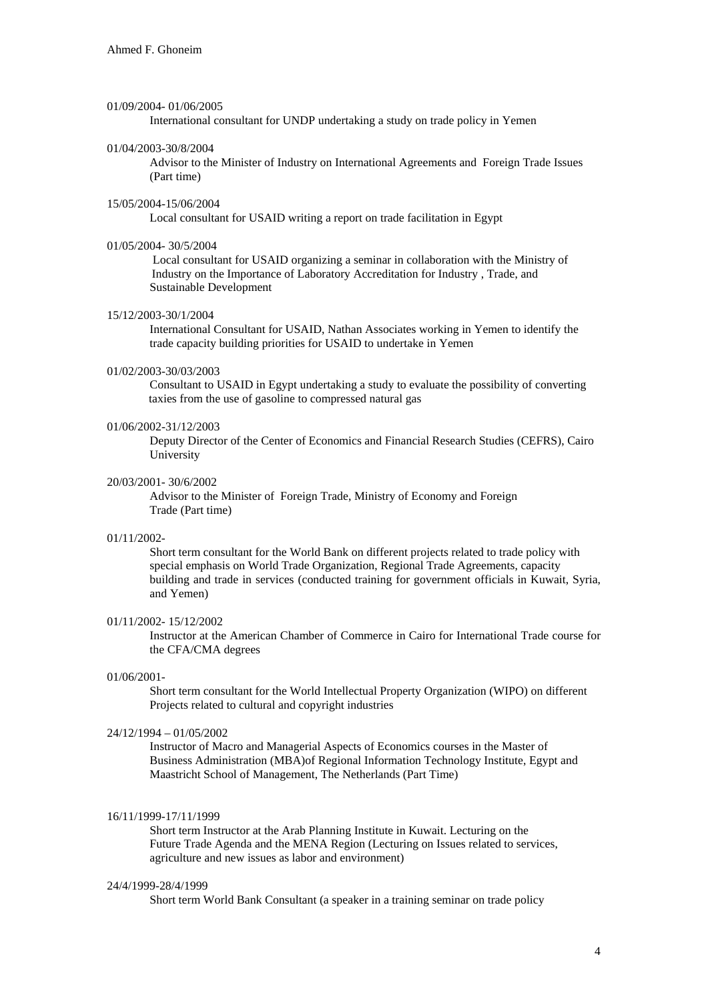#### 01/09/2004- 01/06/2005

International consultant for UNDP undertaking a study on trade policy in Yemen

### 01/04/2003-30/8/2004

 Advisor to the Minister of Industry on International Agreements and Foreign Trade Issues (Part time)

# 15/05/2004-15/06/2004

Local consultant for USAID writing a report on trade facilitation in Egypt

### 01/05/2004- 30/5/2004

 Local consultant for USAID organizing a seminar in collaboration with the Ministry of Industry on the Importance of Laboratory Accreditation for Industry , Trade, and Sustainable Development

## 15/12/2003-30/1/2004

 International Consultant for USAID, Nathan Associates working in Yemen to identify the trade capacity building priorities for USAID to undertake in Yemen

# 01/02/2003-30/03/2003

 Consultant to USAID in Egypt undertaking a study to evaluate the possibility of converting taxies from the use of gasoline to compressed natural gas

#### 01/06/2002-31/12/2003

 Deputy Director of the Center of Economics and Financial Research Studies (CEFRS), Cairo University

### 20/03/2001- 30/6/2002

 Advisor to the Minister of Foreign Trade, Ministry of Economy and Foreign Trade (Part time)

#### 01/11/2002-

 Short term consultant for the World Bank on different projects related to trade policy with special emphasis on World Trade Organization, Regional Trade Agreements, capacity building and trade in services (conducted training for government officials in Kuwait, Syria, and Yemen)

# 01/11/2002- 15/12/2002

Instructor at the American Chamber of Commerce in Cairo for International Trade course for the CFA/CMA degrees

### 01/06/2001-

 Short term consultant for the World Intellectual Property Organization (WIPO) on different Projects related to cultural and copyright industries

# 24/12/1994 – 01/05/2002

 Instructor of Macro and Managerial Aspects of Economics courses in the Master of Business Administration (MBA)of Regional Information Technology Institute, Egypt and Maastricht School of Management, The Netherlands (Part Time)

#### 16/11/1999-17/11/1999

Short term Instructor at the Arab Planning Institute in Kuwait. Lecturing on the Future Trade Agenda and the MENA Region (Lecturing on Issues related to services, agriculture and new issues as labor and environment)

#### 24/4/1999-28/4/1999

Short term World Bank Consultant (a speaker in a training seminar on trade policy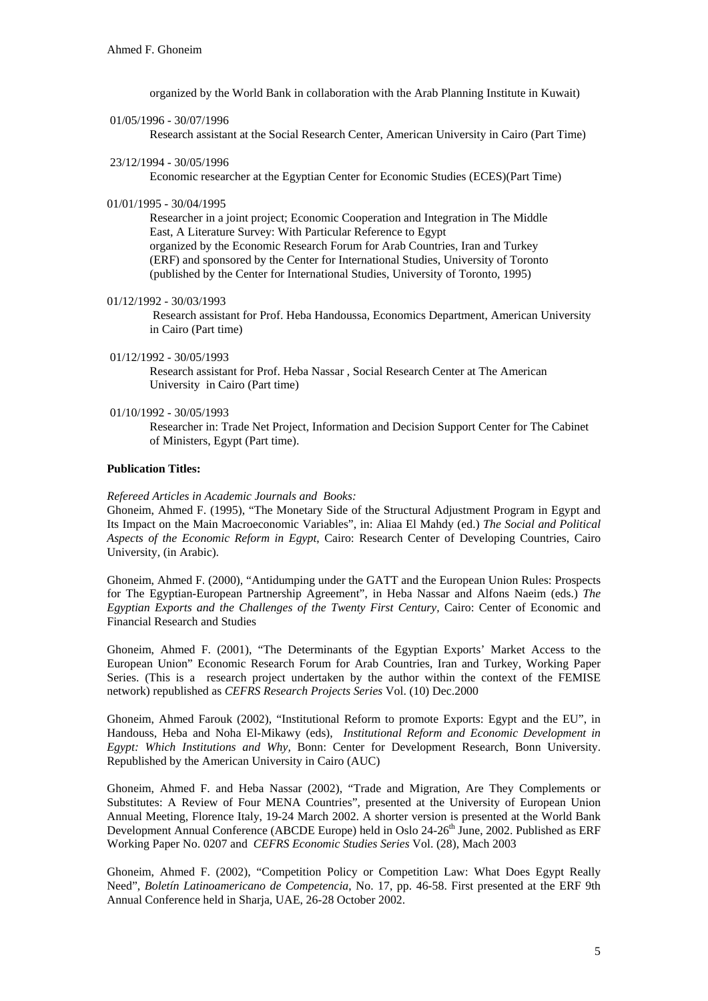organized by the World Bank in collaboration with the Arab Planning Institute in Kuwait)

01/05/1996 - 30/07/1996

Research assistant at the Social Research Center, American University in Cairo (Part Time)

23/12/1994 - 30/05/1996

Economic researcher at the Egyptian Center for Economic Studies (ECES)(Part Time)

01/01/1995 - 30/04/1995

Researcher in a joint project; Economic Cooperation and Integration in The Middle East, A Literature Survey: With Particular Reference to Egypt organized by the Economic Research Forum for Arab Countries, Iran and Turkey (ERF) and sponsored by the Center for International Studies, University of Toronto (published by the Center for International Studies, University of Toronto, 1995)

01/12/1992 - 30/03/1993

 Research assistant for Prof. Heba Handoussa, Economics Department, American University in Cairo (Part time)

01/12/1992 - 30/05/1993

 Research assistant for Prof. Heba Nassar , Social Research Center at The American University in Cairo (Part time)

01/10/1992 - 30/05/1993

 Researcher in: Trade Net Project, Information and Decision Support Center for The Cabinet of Ministers, Egypt (Part time).

### **Publication Titles:**

#### *Refereed Articles in Academic Journals and Books:*

Ghoneim, Ahmed F. (1995), "The Monetary Side of the Structural Adjustment Program in Egypt and Its Impact on the Main Macroeconomic Variables", in: Aliaa El Mahdy (ed.) *The Social and Political Aspects of the Economic Reform in Egypt*, Cairo: Research Center of Developing Countries, Cairo University, (in Arabic).

Ghoneim, Ahmed F. (2000), "Antidumping under the GATT and the European Union Rules: Prospects for The Egyptian-European Partnership Agreement", in Heba Nassar and Alfons Naeim (eds.) *The Egyptian Exports and the Challenges of the Twenty First Century,* Cairo: Center of Economic and Financial Research and Studies

Ghoneim, Ahmed F. (2001), "The Determinants of the Egyptian Exports' Market Access to the European Union" Economic Research Forum for Arab Countries, Iran and Turkey, Working Paper Series. (This is a research project undertaken by the author within the context of the FEMISE network) republished as *CEFRS Research Projects Series* Vol. (10) Dec.2000

Ghoneim, Ahmed Farouk (2002), "Institutional Reform to promote Exports: Egypt and the EU", in Handouss, Heba and Noha El-Mikawy (eds), *Institutional Reform and Economic Development in Egypt: Which Institutions and Why,* Bonn: Center for Development Research, Bonn University. Republished by the American University in Cairo (AUC)

Ghoneim, Ahmed F. and Heba Nassar (2002), "Trade and Migration, Are They Complements or Substitutes: A Review of Four MENA Countries", presented at the University of European Union Annual Meeting, Florence Italy, 19-24 March 2002. A shorter version is presented at the World Bank Development Annual Conference (ABCDE Europe) held in Oslo 24-26<sup>th</sup> June, 2002. Published as ERF Working Paper No. 0207 and *CEFRS Economic Studies Series* Vol. (28), Mach 2003

Ghoneim, Ahmed F. (2002), "Competition Policy or Competition Law: What Does Egypt Really Need", *Boletín Latinoamericano de Competencia*, No. 17, pp. 46-58. First presented at the ERF 9th Annual Conference held in Sharja, UAE, 26-28 October 2002.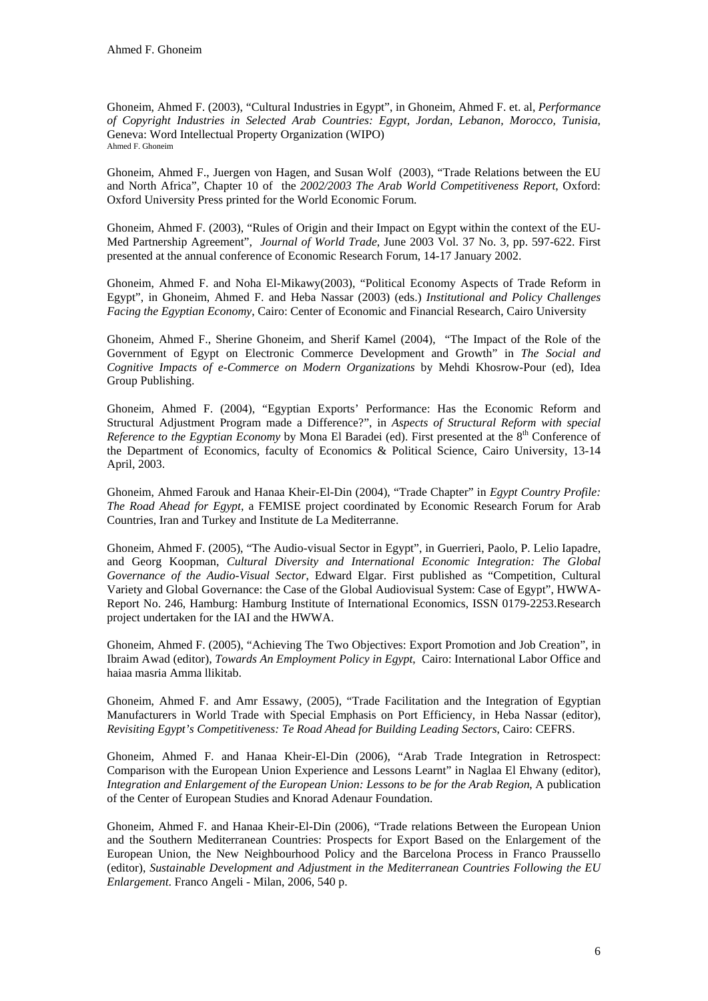Ghoneim, Ahmed F. (2003), "Cultural Industries in Egypt", in Ghoneim, Ahmed F. et. al, *Performance of Copyright Industries in Selected Arab Countries: Egypt, Jordan, Lebanon, Morocco, Tunisia*, Geneva: Word Intellectual Property Organization (WIPO) Ahmed F. Ghoneim

Ghoneim, Ahmed F., Juergen von Hagen, and Susan Wolf (2003), "Trade Relations between the EU and North Africa", Chapter 10 of the *2002/2003 The Arab World Competitiveness Report*, Oxford: Oxford University Press printed for the World Economic Forum.

Ghoneim, Ahmed F. (2003), "Rules of Origin and their Impact on Egypt within the context of the EU-Med Partnership Agreement", *Journal of World Trade*, June 2003 Vol. 37 No. 3, pp. 597-622. First presented at the annual conference of Economic Research Forum, 14-17 January 2002.

Ghoneim, Ahmed F. and Noha El-Mikawy(2003), "Political Economy Aspects of Trade Reform in Egypt", in Ghoneim, Ahmed F. and Heba Nassar (2003) (eds.) *Institutional and Policy Challenges Facing the Egyptian Economy*, Cairo: Center of Economic and Financial Research, Cairo University

Ghoneim, Ahmed F., Sherine Ghoneim, and Sherif Kamel (2004), "The Impact of the Role of the Government of Egypt on Electronic Commerce Development and Growth" in *The Social and Cognitive Impacts of e-Commerce on Modern Organizations* by Mehdi Khosrow-Pour (ed), Idea Group Publishing.

Ghoneim, Ahmed F. (2004), "Egyptian Exports' Performance: Has the Economic Reform and Structural Adjustment Program made a Difference?", in *Aspects of Structural Reform with special Reference to the Egyptian Economy* by Mona El Baradei (ed). First presented at the 8<sup>th</sup> Conference of the Department of Economics, faculty of Economics & Political Science, Cairo University, 13-14 April, 2003.

Ghoneim, Ahmed Farouk and Hanaa Kheir-El-Din (2004), "Trade Chapter" in *Egypt Country Profile: The Road Ahead for Egypt*, a FEMISE project coordinated by Economic Research Forum for Arab Countries, Iran and Turkey and Institute de La Mediterranne.

Ghoneim, Ahmed F. (2005), "The Audio-visual Sector in Egypt", in Guerrieri, Paolo, P. Lelio Iapadre, and Georg Koopman, *Cultural Diversity and International Economic Integration: The Global Governance of the Audio-Visual Sector*, Edward Elgar. First published as "Competition, Cultural Variety and Global Governance: the Case of the Global Audiovisual System: Case of Egypt", HWWA-Report No. 246, Hamburg: Hamburg Institute of International Economics, ISSN 0179-2253.Research project undertaken for the IAI and the HWWA.

Ghoneim, Ahmed F. (2005), "Achieving The Two Objectives: Export Promotion and Job Creation", in Ibraim Awad (editor), *Towards An Employment Policy in Egypt*, Cairo: International Labor Office and haiaa masria Amma llikitab.

Ghoneim, Ahmed F. and Amr Essawy, (2005), "Trade Facilitation and the Integration of Egyptian Manufacturers in World Trade with Special Emphasis on Port Efficiency, in Heba Nassar (editor), *Revisiting Egypt's Competitiveness: Te Road Ahead for Building Leading Sectors*, Cairo: CEFRS.

Ghoneim, Ahmed F. and Hanaa Kheir-El-Din (2006), "Arab Trade Integration in Retrospect: Comparison with the European Union Experience and Lessons Learnt" in Naglaa El Ehwany (editor), *Integration and Enlargement of the European Union: Lessons to be for the Arab Region*, A publication of the Center of European Studies and Knorad Adenaur Foundation.

Ghoneim, Ahmed F. and Hanaa Kheir-El-Din (2006), "Trade relations Between the European Union and the Southern Mediterranean Countries: Prospects for Export Based on the Enlargement of the European Union, the New Neighbourhood Policy and the Barcelona Process in Franco Praussello (editor), *Sustainable Development and Adjustment in the Mediterranean Countries Following the EU Enlargement*. Franco Angeli - Milan, 2006, 540 p.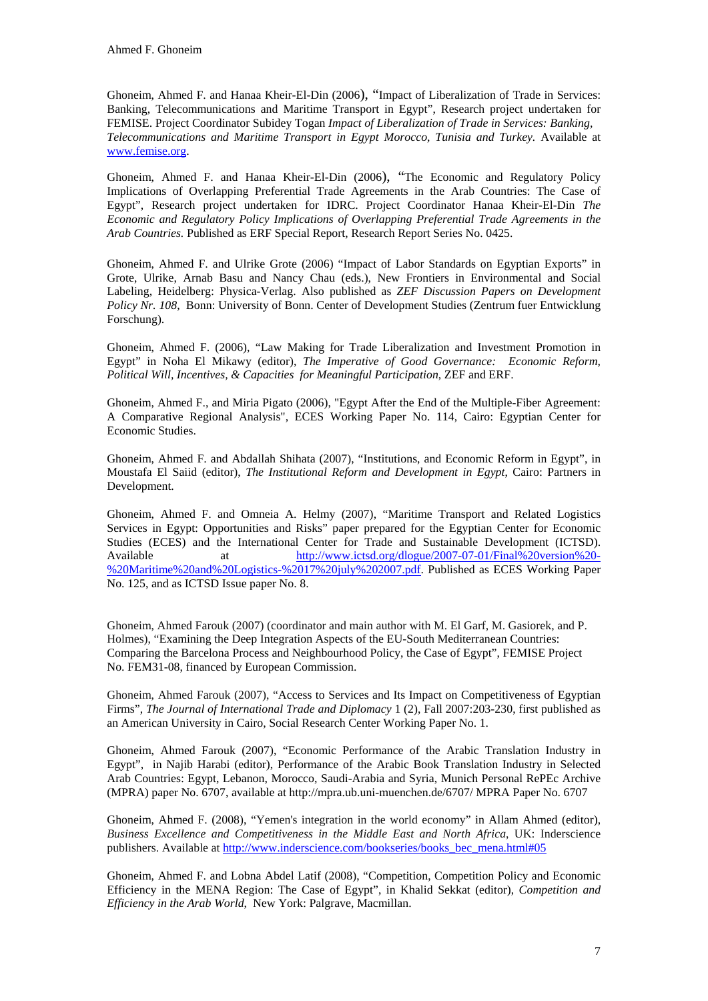Ghoneim, Ahmed F. and Hanaa Kheir-El-Din (2006), "Impact of Liberalization of Trade in Services: Banking, Telecommunications and Maritime Transport in Egypt", Research project undertaken for FEMISE. Project Coordinator Subidey Togan *Impact of Liberalization of Trade in Services: Banking, Telecommunications and Maritime Transport in Egypt Morocco, Tunisia and Turkey.* Available at [www.femise.org.](http://www.femise.org/)

Ghoneim, Ahmed F. and Hanaa Kheir-El-Din (2006), "The Economic and Regulatory Policy Implications of Overlapping Preferential Trade Agreements in the Arab Countries: The Case of Egypt", Research project undertaken for IDRC. Project Coordinator Hanaa Kheir-El-Din *The Economic and Regulatory Policy Implications of Overlapping Preferential Trade Agreements in the Arab Countries.* Published as ERF Special Report, Research Report Series No. 0425.

Ghoneim, Ahmed F. and Ulrike Grote (2006) "Impact of Labor Standards on Egyptian Exports" in Grote, Ulrike, Arnab Basu and Nancy Chau (eds.), New Frontiers in Environmental and Social Labeling, Heidelberg: Physica-Verlag. Also published as *ZEF Discussion Papers on Development Policy Nr. 108*, Bonn: University of Bonn. Center of Development Studies (Zentrum fuer Entwicklung Forschung).

Ghoneim, Ahmed F. (2006), "Law Making for Trade Liberalization and Investment Promotion in Egypt" in Noha El Mikawy (editor), *The Imperative of Good Governance: Economic Reform, Political Will, Incentives, & Capacities for Meaningful Participation*, ZEF and ERF.

Ghoneim, Ahmed F., and Miria Pigato (2006), "Egypt After the End of the Multiple-Fiber Agreement: A Comparative Regional Analysis", ECES Working Paper No. 114, Cairo: Egyptian Center for Economic Studies.

Ghoneim, Ahmed F. and Abdallah Shihata (2007), "Institutions, and Economic Reform in Egypt", in Moustafa El Saiid (editor), *The Institutional Reform and Development in Egypt*, Cairo: Partners in Development.

Ghoneim, Ahmed F. and Omneia A. Helmy (2007), "Maritime Transport and Related Logistics Services in Egypt: Opportunities and Risks" paper prepared for the Egyptian Center for Economic Studies (ECES) and the International Center for Trade and Sustainable Development (ICTSD). Available at [http://www.ictsd.org/dlogue/2007-07-01/Final%20version%20-](http://www.ictsd.org/dlogue/2007-07-01/Final%20version%20-%20Maritime%20and%20Logistics-%2017%20july%202007.pdf) [%20Maritime%20and%20Logistics-%2017%20july%202007.pdf](http://www.ictsd.org/dlogue/2007-07-01/Final%20version%20-%20Maritime%20and%20Logistics-%2017%20july%202007.pdf). Published as ECES Working Paper No. 125, and as ICTSD Issue paper No. 8.

Ghoneim, Ahmed Farouk (2007) (coordinator and main author with M. El Garf, M. Gasiorek, and P. Holmes), "Examining the Deep Integration Aspects of the EU-South Mediterranean Countries: Comparing the Barcelona Process and Neighbourhood Policy, the Case of Egypt", FEMISE Project No. FEM31-08, financed by European Commission.

Ghoneim, Ahmed Farouk (2007), "Access to Services and Its Impact on Competitiveness of Egyptian Firms", *The Journal of International Trade and Diplomacy* 1 (2), Fall 2007:203-230, first published as an American University in Cairo, Social Research Center Working Paper No. 1.

Ghoneim, Ahmed Farouk (2007), "Economic Performance of the Arabic Translation Industry in Egypt", in Najib Harabi (editor), Performance of the Arabic Book Translation Industry in Selected Arab Countries: Egypt, Lebanon, Morocco, Saudi-Arabia and Syria, Munich Personal RePEc Archive (MPRA) paper No. 6707, available at http://mpra.ub.uni-muenchen.de/6707/ MPRA Paper No. 6707

Ghoneim, Ahmed F. (2008), "Yemen's integration in the world economy" in Allam Ahmed (editor), *Business Excellence and Competitiveness in the Middle East and North Africa*, UK: Inderscience publishers. Available at [http://www.inderscience.com/bookseries/books\\_bec\\_mena.html#05](http://www.inderscience.com/bookseries/books_bec_mena.html#05)

Ghoneim, Ahmed F. and Lobna Abdel Latif (2008), "Competition, Competition Policy and Economic Efficiency in the MENA Region: The Case of Egypt", in Khalid Sekkat (editor), *Competition and Efficiency in the Arab World*, New York: Palgrave, Macmillan.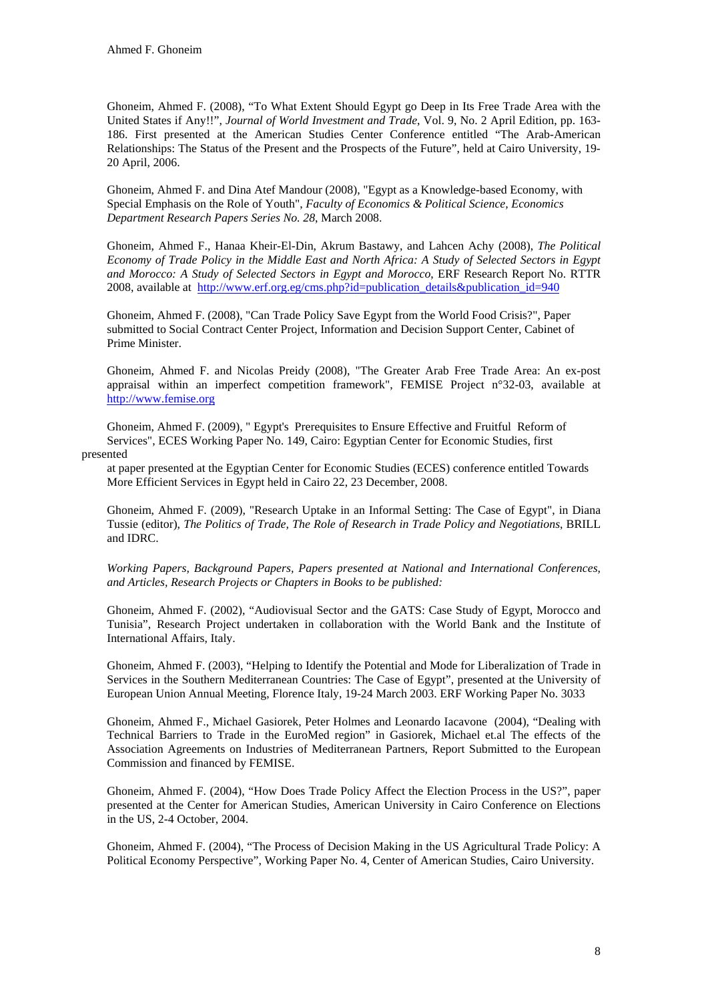Ghoneim, Ahmed F. (2008), "To What Extent Should Egypt go Deep in Its Free Trade Area with the United States if Any!!", *Journal of World Investment and Trade*, Vol. 9, No. 2 April Edition, pp. 163- 186. First presented at the American Studies Center Conference entitled "The Arab-American Relationships: The Status of the Present and the Prospects of the Future", held at Cairo University, 19- 20 April, 2006.

Ghoneim, Ahmed F. and Dina Atef Mandour (2008), "Egypt as a Knowledge-based Economy, with Special Emphasis on the Role of Youth", *Faculty of Economics & Political Science, Economics Department Research Papers Series No. 28*, March 2008.

Ghoneim, Ahmed F., Hanaa Kheir-El-Din, Akrum Bastawy, and Lahcen Achy (2008), *[The Political](http://www.erf.org.eg/cms.php?id=publication_details&publication_id=940)  [Economy of Trade Policy in the Middle East and North Africa: A Study of Selected Sectors in Egypt](http://www.erf.org.eg/cms.php?id=publication_details&publication_id=940)  [and Morocco:](http://www.erf.org.eg/cms.php?id=publication_details&publication_id=940) A Study of Selected Sectors in Egypt and Morocco*, ERF Research Report No. RTTR 2008, available at [http://www.erf.org.eg/cms.php?id=publication\\_details&publication\\_id=940](http://www.erf.org.eg/cms.php?id=publication_details&publication_id=940)

Ghoneim, Ahmed F. (2008), "Can Trade Policy Save Egypt from the World Food Crisis?", Paper submitted to Social Contract Center Project, Information and Decision Support Center, Cabinet of Prime Minister.

Ghoneim, Ahmed F. and Nicolas Preidy (2008), "The Greater Arab Free Trade Area: An ex-post appraisal within an imperfect competition framework", FEMISE Project n°32-03, available at [http://www.femise.org](http://www.femise.org/)

Ghoneim, Ahmed F. (2009), " Egypt's Prerequisites to Ensure Effective and Fruitful Reform of Services", ECES Working Paper No. 149, Cairo: Egyptian Center for Economic Studies, first presented

at paper presented at the Egyptian Center for Economic Studies (ECES) conference entitled Towards More Efficient Services in Egypt held in Cairo 22, 23 December, 2008.

Ghoneim, Ahmed F. (2009), "Research Uptake in an Informal Setting: The Case of Egypt", in Diana Tussie (editor), *The Politics of Trade, The Role of Research in Trade Policy and Negotiations*, BRILL and IDRC.

*Working Papers, Background Papers, Papers presented at National and International Conferences, and Articles, Research Projects or Chapters in Books to be published:* 

Ghoneim, Ahmed F. (2002), "Audiovisual Sector and the GATS: Case Study of Egypt, Morocco and Tunisia", Research Project undertaken in collaboration with the World Bank and the Institute of International Affairs, Italy.

Ghoneim, Ahmed F. (2003), "Helping to Identify the Potential and Mode for Liberalization of Trade in Services in the Southern Mediterranean Countries: The Case of Egypt", presented at the University of European Union Annual Meeting, Florence Italy, 19-24 March 2003. ERF Working Paper No. 3033

Ghoneim, Ahmed F., Michael Gasiorek, Peter Holmes and Leonardo Iacavone (2004), "Dealing with Technical Barriers to Trade in the EuroMed region" in Gasiorek, Michael et.al The effects of the Association Agreements on Industries of Mediterranean Partners, Report Submitted to the European Commission and financed by FEMISE.

Ghoneim, Ahmed F. (2004), "How Does Trade Policy Affect the Election Process in the US?", paper presented at the Center for American Studies, American University in Cairo Conference on Elections in the US, 2-4 October, 2004.

Ghoneim, Ahmed F. (2004), "The Process of Decision Making in the US Agricultural Trade Policy: A Political Economy Perspective", Working Paper No. 4, Center of American Studies, Cairo University.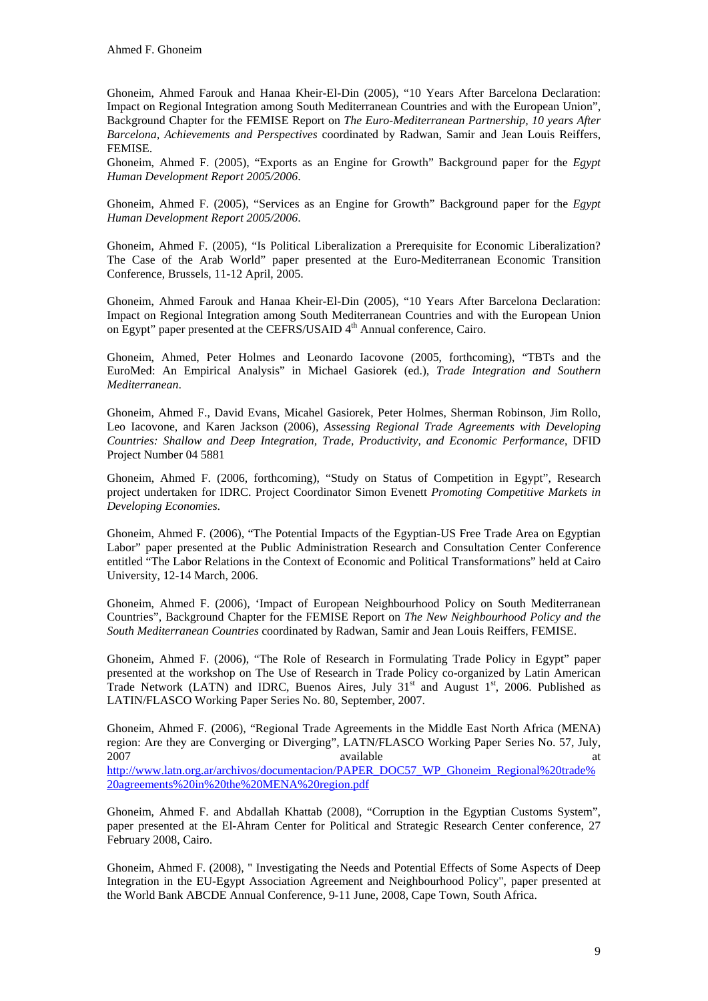Ghoneim, Ahmed Farouk and Hanaa Kheir-El-Din (2005), "10 Years After Barcelona Declaration: Impact on Regional Integration among South Mediterranean Countries and with the European Union", Background Chapter for the FEMISE Report on *The Euro-Mediterranean Partnership, 10 years After Barcelona, Achievements and Perspectives* coordinated by Radwan, Samir and Jean Louis Reiffers, FEMISE.

Ghoneim, Ahmed F. (2005), "Exports as an Engine for Growth" Background paper for the *Egypt Human Development Report 2005/2006*.

Ghoneim, Ahmed F. (2005), "Services as an Engine for Growth" Background paper for the *Egypt Human Development Report 2005/2006*.

Ghoneim, Ahmed F. (2005), "Is Political Liberalization a Prerequisite for Economic Liberalization? The Case of the Arab World" paper presented at the Euro-Mediterranean Economic Transition Conference, Brussels, 11-12 April, 2005.

Ghoneim, Ahmed Farouk and Hanaa Kheir-El-Din (2005), "10 Years After Barcelona Declaration: Impact on Regional Integration among South Mediterranean Countries and with the European Union on Egypt" paper presented at the CEFRS/USAID 4<sup>th</sup> Annual conference, Cairo.

Ghoneim, Ahmed, Peter Holmes and Leonardo Iacovone (2005, forthcoming), "TBTs and the EuroMed: An Empirical Analysis" in Michael Gasiorek (ed.), *Trade Integration and Southern Mediterranean*.

Ghoneim, Ahmed F., David Evans, Micahel Gasiorek, Peter Holmes, Sherman Robinson, Jim Rollo, Leo Iacovone, and Karen Jackson (2006), *Assessing Regional Trade Agreements with Developing Countries: Shallow and Deep Integration, Trade, Productivity, and Economic Performance*, DFID Project Number 04 5881

Ghoneim, Ahmed F. (2006, forthcoming), "Study on Status of Competition in Egypt", Research project undertaken for IDRC. Project Coordinator Simon Evenett *Promoting Competitive Markets in Developing Economies*.

Ghoneim, Ahmed F. (2006), "The Potential Impacts of the Egyptian-US Free Trade Area on Egyptian Labor" paper presented at the Public Administration Research and Consultation Center Conference entitled "The Labor Relations in the Context of Economic and Political Transformations" held at Cairo University, 12-14 March, 2006.

Ghoneim, Ahmed F. (2006), 'Impact of European Neighbourhood Policy on South Mediterranean Countries", Background Chapter for the FEMISE Report on *The New Neighbourhood Policy and the South Mediterranean Countries* coordinated by Radwan, Samir and Jean Louis Reiffers, FEMISE.

Ghoneim, Ahmed F. (2006), "The Role of Research in Formulating Trade Policy in Egypt" paper presented at the workshop on The Use of Research in Trade Policy co-organized by Latin American Trade Network (LATN) and IDRC, Buenos Aires, July  $31<sup>st</sup>$  and August  $1<sup>st</sup>$ , 2006. Published as LATIN/FLASCO Working Paper Series No. 80, September, 2007.

Ghoneim, Ahmed F. (2006), "Regional Trade Agreements in the Middle East North Africa (MENA) region: Are they are Converging or Diverging", LATN/FLASCO Working Paper Series No. 57, July, 2007 available at a series and the series of the series and the series are at a series at a series at a series and the series at a series of the series at a series of the series at a series of the series at a series of the [http://www.latn.org.ar/archivos/documentacion/PAPER\\_DOC57\\_WP\\_Ghoneim\\_Regional%20trade%](http://www.latn.org.ar/archivos/documentacion/PAPER_DOC57_WP_Ghoneim_Regional%20trade%20agreements%20in%20the%20MENA%20region.pdf) [20agreements%20in%20the%20MENA%20region.pdf](http://www.latn.org.ar/archivos/documentacion/PAPER_DOC57_WP_Ghoneim_Regional%20trade%20agreements%20in%20the%20MENA%20region.pdf)

Ghoneim, Ahmed F. and Abdallah Khattab (2008), "Corruption in the Egyptian Customs System", paper presented at the El-Ahram Center for Political and Strategic Research Center conference, 27 February 2008, Cairo.

Ghoneim, Ahmed F. (2008), " Investigating the Needs and Potential Effects of Some Aspects of Deep Integration in the EU-Egypt Association Agreement and Neighbourhood Policy", paper presented at the World Bank ABCDE Annual Conference, 9-11 June, 2008, Cape Town, South Africa.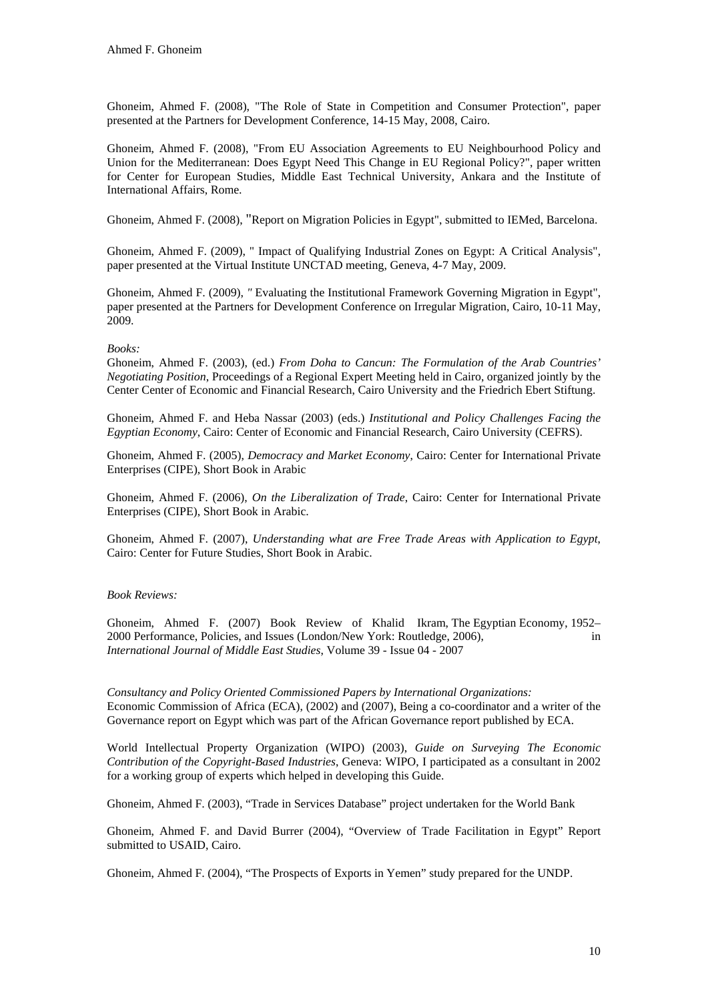Ghoneim, Ahmed F. (2008), "The Role of State in Competition and Consumer Protection", paper presented at the Partners for Development Conference, 14-15 May, 2008, Cairo.

Ghoneim, Ahmed F. (2008), "From EU Association Agreements to EU Neighbourhood Policy and Union for the Mediterranean: Does Egypt Need This Change in EU Regional Policy?", paper written for Center for European Studies, Middle East Technical University, Ankara and the Institute of International Affairs, Rome.

Ghoneim, Ahmed F. (2008), "Report on Migration Policies in Egypt", submitted to IEMed, Barcelona.

Ghoneim, Ahmed F. (2009), " Impact of Qualifying Industrial Zones on Egypt: A Critical Analysis", paper presented at the Virtual Institute UNCTAD meeting, Geneva, 4-7 May, 2009.

Ghoneim, Ahmed F. (2009), *"* Evaluating the Institutional Framework Governing Migration in Egypt", paper presented at the Partners for Development Conference on Irregular Migration, Cairo, 10-11 May, 2009.

# *Books:*

Ghoneim, Ahmed F. (2003), (ed.) *From Doha to Cancun: The Formulation of the Arab Countries' Negotiating Position*, Proceedings of a Regional Expert Meeting held in Cairo, organized jointly by the Center Center of Economic and Financial Research, Cairo University and the Friedrich Ebert Stiftung.

Ghoneim, Ahmed F. and Heba Nassar (2003) (eds.) *Institutional and Policy Challenges Facing the Egyptian Economy*, Cairo: Center of Economic and Financial Research, Cairo University (CEFRS).

Ghoneim, Ahmed F. (2005), *Democracy and Market Economy*, Cairo: Center for International Private Enterprises (CIPE), Short Book in Arabic

Ghoneim, Ahmed F. (2006), *On the Liberalization of Trade*, Cairo: Center for International Private Enterprises (CIPE), Short Book in Arabic.

Ghoneim, Ahmed F. (2007), *Understanding what are Free Trade Areas with Application to Egypt*, Cairo: Center for Future Studies, Short Book in Arabic.

# *Book Reviews:*

Ghoneim, Ahmed F. (2007) Book Review of Khalid Ikram, The Egyptian Economy, 1952– 2000 Performance, Policies, and Issues (London/New York: Routledge, 2006), in *International Journal of Middle East Studies*, Volume 39 - Issue 04 - 2007

*Consultancy and Policy Oriented Commissioned Papers by International Organizations:*  Economic Commission of Africa (ECA), (2002) and (2007), Being a co-coordinator and a writer of the Governance report on Egypt which was part of the African Governance report published by ECA.

World Intellectual Property Organization (WIPO) (2003), *Guide on Surveying The Economic Contribution of the Copyright-Based Industries*, Geneva: WIPO, I participated as a consultant in 2002 for a working group of experts which helped in developing this Guide.

Ghoneim, Ahmed F. (2003), "Trade in Services Database" project undertaken for the World Bank

Ghoneim, Ahmed F. and David Burrer (2004), "Overview of Trade Facilitation in Egypt" Report submitted to USAID, Cairo.

Ghoneim, Ahmed F. (2004), "The Prospects of Exports in Yemen" study prepared for the UNDP.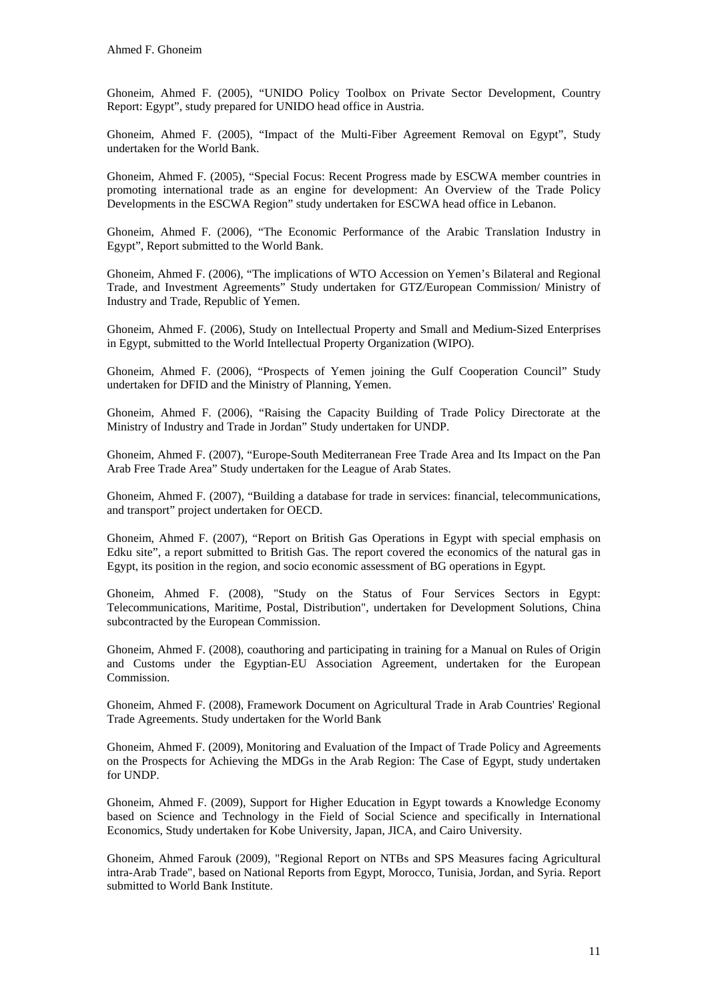Ghoneim, Ahmed F. (2005), "UNIDO Policy Toolbox on Private Sector Development, Country Report: Egypt", study prepared for UNIDO head office in Austria.

Ghoneim, Ahmed F. (2005), "Impact of the Multi-Fiber Agreement Removal on Egypt", Study undertaken for the World Bank.

Ghoneim, Ahmed F. (2005), "Special Focus: Recent Progress made by ESCWA member countries in promoting international trade as an engine for development: An Overview of the Trade Policy Developments in the ESCWA Region" study undertaken for ESCWA head office in Lebanon.

Ghoneim, Ahmed F. (2006), "The Economic Performance of the Arabic Translation Industry in Egypt", Report submitted to the World Bank.

Ghoneim, Ahmed F. (2006), "The implications of WTO Accession on Yemen's Bilateral and Regional Trade, and Investment Agreements" Study undertaken for GTZ/European Commission/ Ministry of Industry and Trade, Republic of Yemen.

Ghoneim, Ahmed F. (2006), Study on Intellectual Property and Small and Medium-Sized Enterprises in Egypt, submitted to the World Intellectual Property Organization (WIPO).

Ghoneim, Ahmed F. (2006), "Prospects of Yemen joining the Gulf Cooperation Council" Study undertaken for DFID and the Ministry of Planning, Yemen.

Ghoneim, Ahmed F. (2006), "Raising the Capacity Building of Trade Policy Directorate at the Ministry of Industry and Trade in Jordan" Study undertaken for UNDP.

Ghoneim, Ahmed F. (2007), "Europe-South Mediterranean Free Trade Area and Its Impact on the Pan Arab Free Trade Area" Study undertaken for the League of Arab States.

Ghoneim, Ahmed F. (2007), "Building a database for trade in services: financial, telecommunications, and transport" project undertaken for OECD.

Ghoneim, Ahmed F. (2007), "Report on British Gas Operations in Egypt with special emphasis on Edku site", a report submitted to British Gas. The report covered the economics of the natural gas in Egypt, its position in the region, and socio economic assessment of BG operations in Egypt.

Ghoneim, Ahmed F. (2008), "Study on the Status of Four Services Sectors in Egypt: Telecommunications, Maritime, Postal, Distribution", undertaken for Development Solutions, China subcontracted by the European Commission.

Ghoneim, Ahmed F. (2008), coauthoring and participating in training for a Manual on Rules of Origin and Customs under the Egyptian-EU Association Agreement, undertaken for the European Commission.

Ghoneim, Ahmed F. (2008), Framework Document on Agricultural Trade in Arab Countries' Regional Trade Agreements. Study undertaken for the World Bank

Ghoneim, Ahmed F. (2009), Monitoring and Evaluation of the Impact of Trade Policy and Agreements on the Prospects for Achieving the MDGs in the Arab Region: The Case of Egypt, study undertaken for UNDP.

Ghoneim, Ahmed F. (2009), Support for Higher Education in Egypt towards a Knowledge Economy based on Science and Technology in the Field of Social Science and specifically in International Economics, Study undertaken for Kobe University, Japan, JICA, and Cairo University.

Ghoneim, Ahmed Farouk (2009), "Regional Report on NTBs and SPS Measures facing Agricultural intra-Arab Trade", based on National Reports from Egypt, Morocco, Tunisia, Jordan, and Syria. Report submitted to World Bank Institute.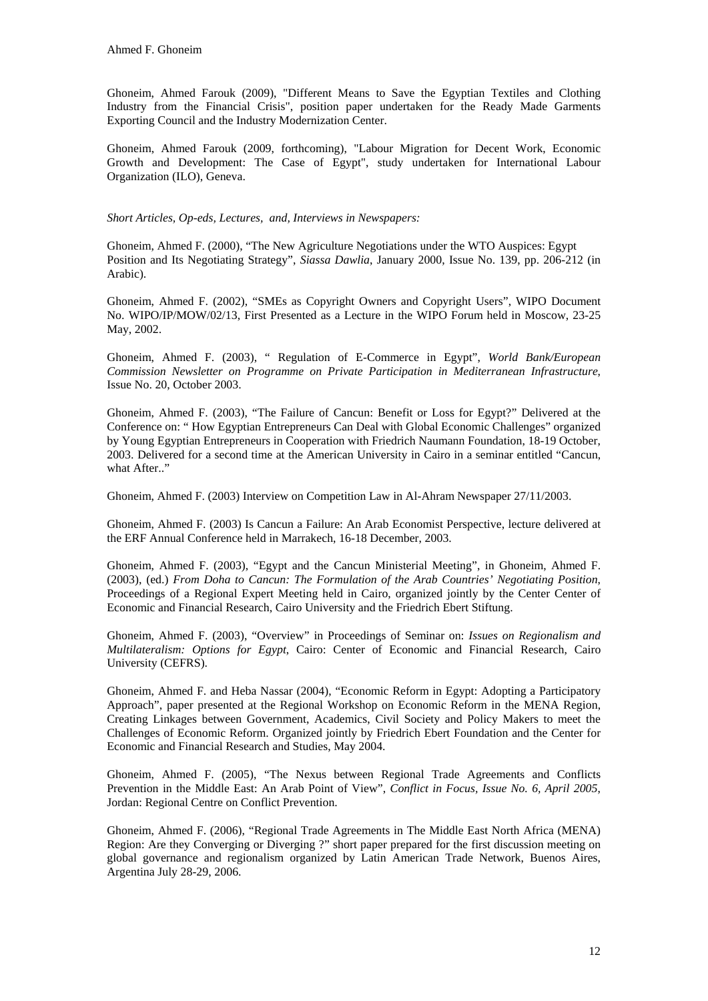Ghoneim, Ahmed Farouk (2009), "Different Means to Save the Egyptian Textiles and Clothing Industry from the Financial Crisis", position paper undertaken for the Ready Made Garments Exporting Council and the Industry Modernization Center.

Ghoneim, Ahmed Farouk (2009, forthcoming), "Labour Migration for Decent Work, Economic Growth and Development: The Case of Egypt", study undertaken for International Labour Organization (ILO), Geneva.

*Short Articles, Op-eds, Lectures, and, Interviews in Newspapers:* 

Ghoneim, Ahmed F. (2000), "The New Agriculture Negotiations under the WTO Auspices: Egypt Position and Its Negotiating Strategy", *Siassa Dawlia*, January 2000, Issue No. 139, pp. 206-212 (in Arabic).

Ghoneim, Ahmed F. (2002), "SMEs as Copyright Owners and Copyright Users", WIPO Document No. WIPO/IP/MOW/02/13, First Presented as a Lecture in the WIPO Forum held in Moscow, 23-25 May, 2002.

Ghoneim, Ahmed F. (2003), " Regulation of E-Commerce in Egypt", *World Bank/European Commission Newsletter on Programme on Private Participation in Mediterranean Infrastructure*, Issue No. 20, October 2003.

Ghoneim, Ahmed F. (2003), "The Failure of Cancun: Benefit or Loss for Egypt?" Delivered at the Conference on: " How Egyptian Entrepreneurs Can Deal with Global Economic Challenges" organized by Young Egyptian Entrepreneurs in Cooperation with Friedrich Naumann Foundation, 18-19 October, 2003. Delivered for a second time at the American University in Cairo in a seminar entitled "Cancun, what After.."

Ghoneim, Ahmed F. (2003) Interview on Competition Law in Al-Ahram Newspaper 27/11/2003.

Ghoneim, Ahmed F. (2003) Is Cancun a Failure: An Arab Economist Perspective, lecture delivered at the ERF Annual Conference held in Marrakech, 16-18 December, 2003.

Ghoneim, Ahmed F. (2003), "Egypt and the Cancun Ministerial Meeting", in Ghoneim, Ahmed F. (2003), (ed.) *From Doha to Cancun: The Formulation of the Arab Countries' Negotiating Position*, Proceedings of a Regional Expert Meeting held in Cairo, organized jointly by the Center Center of Economic and Financial Research, Cairo University and the Friedrich Ebert Stiftung.

Ghoneim, Ahmed F. (2003), "Overview" in Proceedings of Seminar on: *Issues on Regionalism and Multilateralism: Options for Egypt*, Cairo: Center of Economic and Financial Research, Cairo University (CEFRS).

Ghoneim, Ahmed F. and Heba Nassar (2004), "Economic Reform in Egypt: Adopting a Participatory Approach", paper presented at the Regional Workshop on Economic Reform in the MENA Region, Creating Linkages between Government, Academics, Civil Society and Policy Makers to meet the Challenges of Economic Reform. Organized jointly by Friedrich Ebert Foundation and the Center for Economic and Financial Research and Studies, May 2004.

Ghoneim, Ahmed F. (2005), "The Nexus between Regional Trade Agreements and Conflicts Prevention in the Middle East: An Arab Point of View", *Conflict in Focus, Issue No. 6, April 2005*, Jordan: Regional Centre on Conflict Prevention.

Ghoneim, Ahmed F. (2006), "Regional Trade Agreements in The Middle East North Africa (MENA) Region: Are they Converging or Diverging ?" short paper prepared for the first discussion meeting on global governance and regionalism organized by Latin American Trade Network, Buenos Aires, Argentina July 28-29, 2006.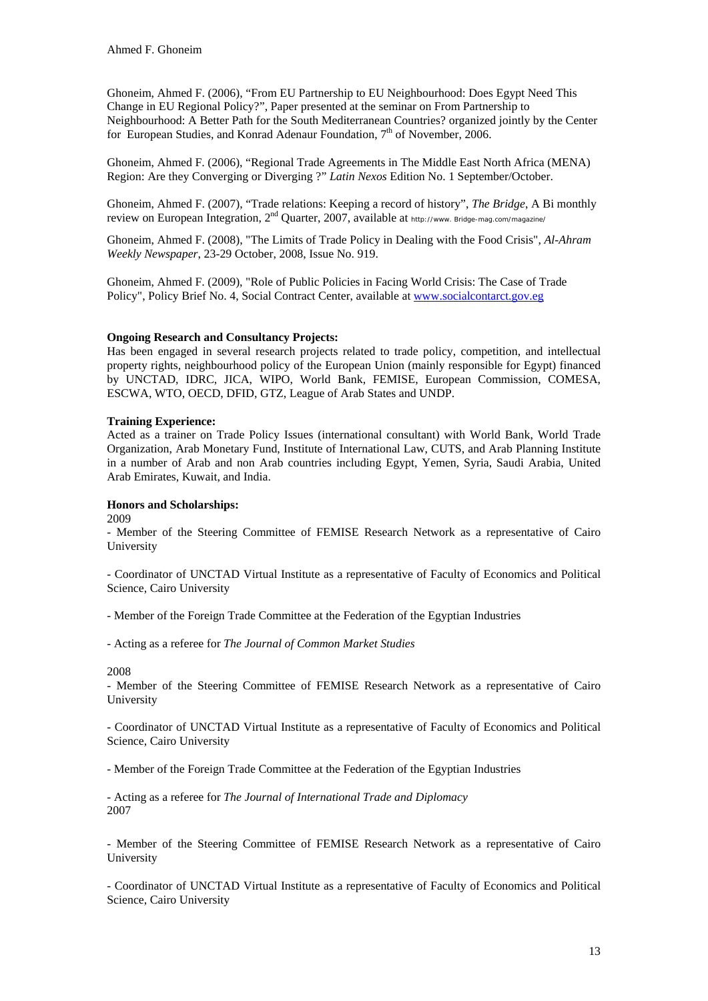Ghoneim, Ahmed F. (2006), "From EU Partnership to EU Neighbourhood: Does Egypt Need This Change in EU Regional Policy?", Paper presented at the seminar on From Partnership to Neighbourhood: A Better Path for the South Mediterranean Countries? organized jointly by the Center for European Studies, and Konrad Adenaur Foundation,  $7<sup>th</sup>$  of November, 2006.

Ghoneim, Ahmed F. (2006), "Regional Trade Agreements in The Middle East North Africa (MENA) Region: Are they Converging or Diverging ?" *Latin Nexos* Edition No. 1 September/October.

Ghoneim, Ahmed F. (2007), "Trade relations: Keeping a record of history", *The Bridge*, A Bi monthly review on European Integration, 2nd Quarter, 2007, available at http://www. Bridge-mag.com/magazine/

Ghoneim, Ahmed F. (2008), "The Limits of Trade Policy in Dealing with the Food Crisis", *Al-Ahram Weekly Newspaper*, 23-29 October, 2008, Issue No. 919.

Ghoneim, Ahmed F. (2009), "Role of Public Policies in Facing World Crisis: The Case of Trade Policy", Policy Brief No. 4, Social Contract Center, available at [www.socialcontarct.gov.eg](http://www.socialcontarct.gov.eg/)

### **Ongoing Research and Consultancy Projects:**

Has been engaged in several research projects related to trade policy, competition, and intellectual property rights, neighbourhood policy of the European Union (mainly responsible for Egypt) financed by UNCTAD, IDRC, JICA, WIPO, World Bank, FEMISE, European Commission, COMESA, ESCWA, WTO, OECD, DFID, GTZ, League of Arab States and UNDP.

### **Training Experience:**

Acted as a trainer on Trade Policy Issues (international consultant) with World Bank, World Trade Organization, Arab Monetary Fund, Institute of International Law, CUTS, and Arab Planning Institute in a number of Arab and non Arab countries including Egypt, Yemen, Syria, Saudi Arabia, United Arab Emirates, Kuwait, and India.

# **Honors and Scholarships:**

2009

- Member of the Steering Committee of FEMISE Research Network as a representative of Cairo University

- Coordinator of UNCTAD Virtual Institute as a representative of Faculty of Economics and Political Science, Cairo University

- Member of the Foreign Trade Committee at the Federation of the Egyptian Industries

- Acting as a referee for *The Journal of Common Market Studies*

2008

- Member of the Steering Committee of FEMISE Research Network as a representative of Cairo University

- Coordinator of UNCTAD Virtual Institute as a representative of Faculty of Economics and Political Science, Cairo University

- Member of the Foreign Trade Committee at the Federation of the Egyptian Industries

- Acting as a referee for *The Journal of International Trade and Diplomacy* 2007

- Member of the Steering Committee of FEMISE Research Network as a representative of Cairo University

- Coordinator of UNCTAD Virtual Institute as a representative of Faculty of Economics and Political Science, Cairo University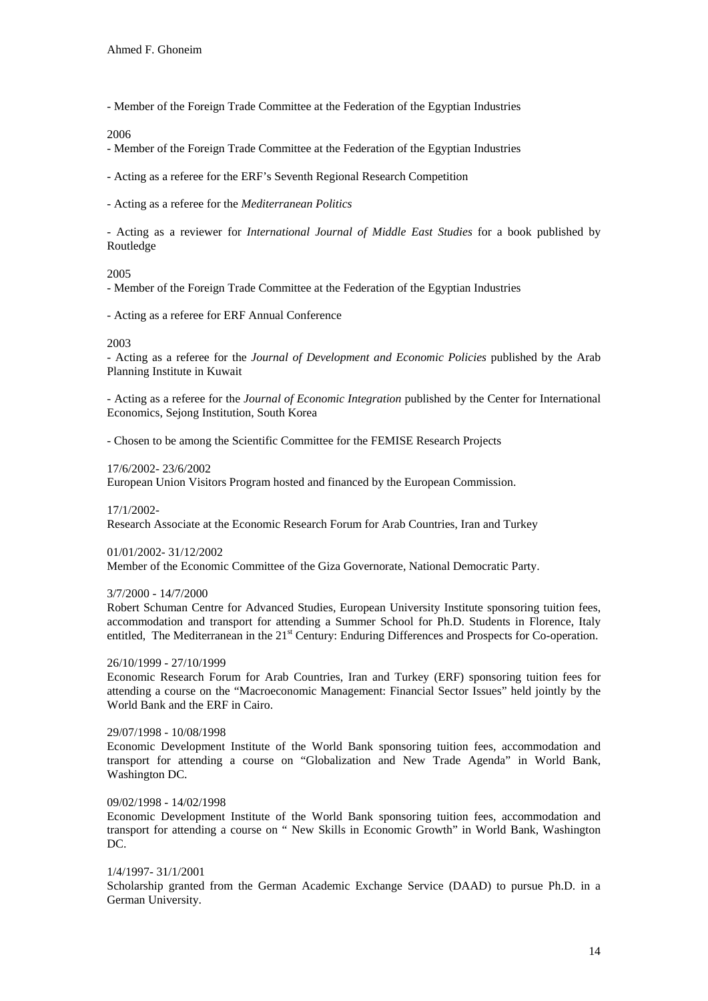- Member of the Foreign Trade Committee at the Federation of the Egyptian Industries

2006

- Member of the Foreign Trade Committee at the Federation of the Egyptian Industries

- Acting as a referee for the ERF's Seventh Regional Research Competition

- Acting as a referee for the *Mediterranean Politics*

- Acting as a reviewer for *International Journal of Middle East Studies* for a book published by Routledge

### 2005

- Member of the Foreign Trade Committee at the Federation of the Egyptian Industries

- Acting as a referee for ERF Annual Conference

#### 2003

- Acting as a referee for the *Journal of Development and Economic Policies* published by the Arab Planning Institute in Kuwait

- Acting as a referee for the *Journal of Economic Integration* published by the Center for International Economics, Sejong Institution, South Korea

- Chosen to be among the Scientific Committee for the FEMISE Research Projects

### 17/6/2002- 23/6/2002

European Union Visitors Program hosted and financed by the European Commission.

17/1/2002-

Research Associate at the Economic Research Forum for Arab Countries, Iran and Turkey

01/01/2002- 31/12/2002

Member of the Economic Committee of the Giza Governorate, National Democratic Party.

#### 3/7/2000 - 14/7/2000

Robert Schuman Centre for Advanced Studies, European University Institute sponsoring tuition fees, accommodation and transport for attending a Summer School for Ph.D. Students in Florence, Italy entitled, The Mediterranean in the 21<sup>st</sup> Century: Enduring Differences and Prospects for Co-operation.

#### 26/10/1999 - 27/10/1999

Economic Research Forum for Arab Countries, Iran and Turkey (ERF) sponsoring tuition fees for attending a course on the "Macroeconomic Management: Financial Sector Issues" held jointly by the World Bank and the ERF in Cairo.

#### 29/07/1998 - 10/08/1998

Economic Development Institute of the World Bank sponsoring tuition fees, accommodation and transport for attending a course on "Globalization and New Trade Agenda" in World Bank, Washington DC.

# 09/02/1998 - 14/02/1998

Economic Development Institute of the World Bank sponsoring tuition fees, accommodation and transport for attending a course on " New Skills in Economic Growth" in World Bank, Washington DC.

#### 1/4/1997- 31/1/2001

Scholarship granted from the German Academic Exchange Service (DAAD) to pursue Ph.D. in a German University.